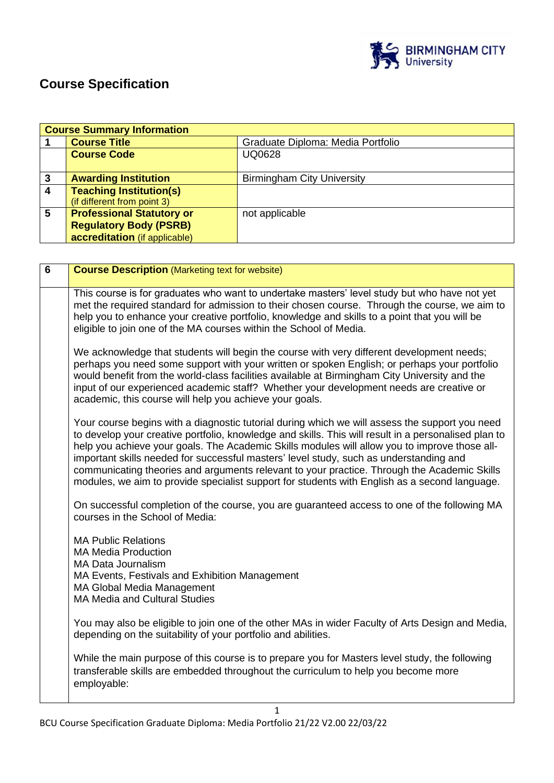

# **Course Specification**

|                  | <b>Course Summary Information</b>                                                                  |                                   |  |
|------------------|----------------------------------------------------------------------------------------------------|-----------------------------------|--|
|                  | <b>Course Title</b>                                                                                | Graduate Diploma: Media Portfolio |  |
|                  | <b>Course Code</b>                                                                                 | <b>UQ0628</b>                     |  |
| 3                | <b>Awarding Institution</b>                                                                        | <b>Birmingham City University</b> |  |
| $\boldsymbol{4}$ | <b>Teaching Institution(s)</b><br>(if different from point 3)                                      |                                   |  |
| 5                | <b>Professional Statutory or</b><br><b>Regulatory Body (PSRB)</b><br>accreditation (if applicable) | not applicable                    |  |

| $6\phantom{a}$ | <b>Course Description (Marketing text for website)</b>                                                                                                                                                                                                                                                                                                                                                                                                                                                                                                                                            |
|----------------|---------------------------------------------------------------------------------------------------------------------------------------------------------------------------------------------------------------------------------------------------------------------------------------------------------------------------------------------------------------------------------------------------------------------------------------------------------------------------------------------------------------------------------------------------------------------------------------------------|
|                | This course is for graduates who want to undertake masters' level study but who have not yet<br>met the required standard for admission to their chosen course. Through the course, we aim to<br>help you to enhance your creative portfolio, knowledge and skills to a point that you will be<br>eligible to join one of the MA courses within the School of Media.                                                                                                                                                                                                                              |
|                | We acknowledge that students will begin the course with very different development needs;<br>perhaps you need some support with your written or spoken English; or perhaps your portfolio<br>would benefit from the world-class facilities available at Birmingham City University and the<br>input of our experienced academic staff? Whether your development needs are creative or<br>academic, this course will help you achieve your goals.                                                                                                                                                  |
|                | Your course begins with a diagnostic tutorial during which we will assess the support you need<br>to develop your creative portfolio, knowledge and skills. This will result in a personalised plan to<br>help you achieve your goals. The Academic Skills modules will allow you to improve those all-<br>important skills needed for successful masters' level study, such as understanding and<br>communicating theories and arguments relevant to your practice. Through the Academic Skills<br>modules, we aim to provide specialist support for students with English as a second language. |
|                | On successful completion of the course, you are guaranteed access to one of the following MA<br>courses in the School of Media:                                                                                                                                                                                                                                                                                                                                                                                                                                                                   |
|                | <b>MA Public Relations</b><br><b>MA Media Production</b><br><b>MA Data Journalism</b><br>MA Events, Festivals and Exhibition Management<br>MA Global Media Management<br><b>MA Media and Cultural Studies</b>                                                                                                                                                                                                                                                                                                                                                                                     |
|                | You may also be eligible to join one of the other MAs in wider Faculty of Arts Design and Media,<br>depending on the suitability of your portfolio and abilities.                                                                                                                                                                                                                                                                                                                                                                                                                                 |
|                | While the main purpose of this course is to prepare you for Masters level study, the following<br>transferable skills are embedded throughout the curriculum to help you become more<br>employable:                                                                                                                                                                                                                                                                                                                                                                                               |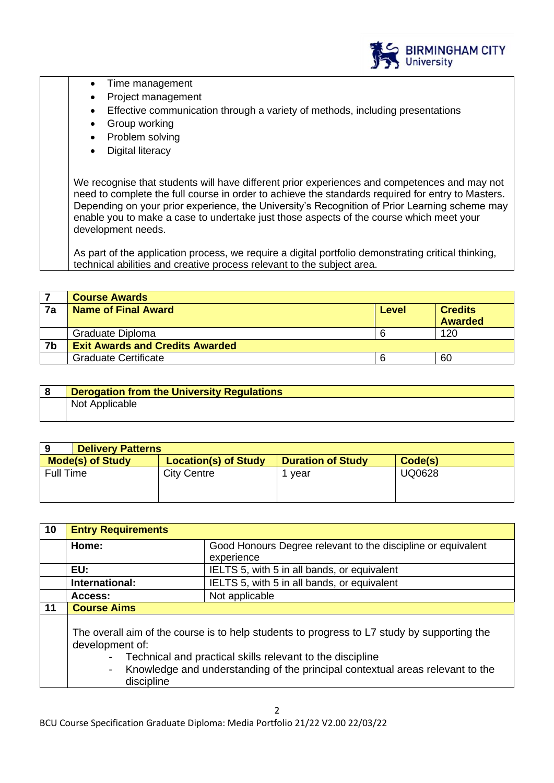

- Time management
- Project management
- Effective communication through a variety of methods, including presentations
- Group working
- Problem solving
- **Digital literacy**

We recognise that students will have different prior experiences and competences and may not need to complete the full course in order to achieve the standards required for entry to Masters. Depending on your prior experience, the University's Recognition of Prior Learning scheme may enable you to make a case to undertake just those aspects of the course which meet your development needs.

As part of the application process, we require a digital portfolio demonstrating critical thinking, technical abilities and creative process relevant to the subject area.

|    | <b>Course Awards</b>                   |       |                |
|----|----------------------------------------|-------|----------------|
| 7a | Name of Final Award                    | Level | <b>Credits</b> |
|    |                                        |       | <b>Awarded</b> |
|    | Graduate Diploma                       |       | 120            |
| 7b | <b>Exit Awards and Credits Awarded</b> |       |                |
|    | <b>Graduate Certificate</b>            |       | 60             |

| <b>Derogation from the University Regulations</b> |
|---------------------------------------------------|
| Not Applicable                                    |

| <b>Delivery Patterns</b> |                             |                          |               |
|--------------------------|-----------------------------|--------------------------|---------------|
| <b>Mode(s) of Study</b>  | <b>Location(s) of Study</b> | <b>Duration of Study</b> | Code(s)       |
| Full Time                | <b>City Centre</b>          | vear                     | <b>UQ0628</b> |

| 10 | <b>Entry Requirements</b>                                                                                                                                                                                                                                                  |                                             |
|----|----------------------------------------------------------------------------------------------------------------------------------------------------------------------------------------------------------------------------------------------------------------------------|---------------------------------------------|
|    | Good Honours Degree relevant to the discipline or equivalent<br>Home:                                                                                                                                                                                                      |                                             |
|    |                                                                                                                                                                                                                                                                            | experience                                  |
|    | EU:                                                                                                                                                                                                                                                                        | IELTS 5, with 5 in all bands, or equivalent |
|    | International:                                                                                                                                                                                                                                                             | IELTS 5, with 5 in all bands, or equivalent |
|    | Access:                                                                                                                                                                                                                                                                    | Not applicable                              |
| 11 | <b>Course Aims</b>                                                                                                                                                                                                                                                         |                                             |
|    | The overall aim of the course is to help students to progress to L7 study by supporting the<br>development of:<br>Technical and practical skills relevant to the discipline<br>Knowledge and understanding of the principal contextual areas relevant to the<br>discipline |                                             |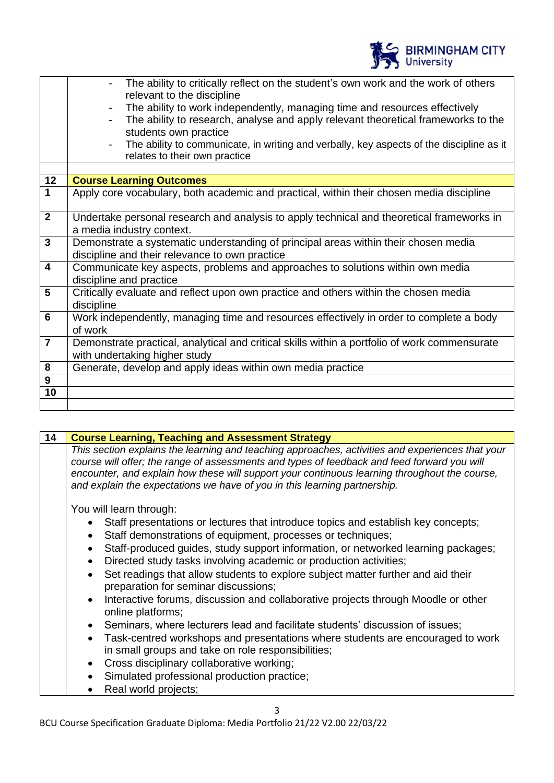

|                         | The ability to critically reflect on the student's own work and the work of others<br>relevant to the discipline<br>The ability to work independently, managing time and resources effectively<br>The ability to research, analyse and apply relevant theoretical frameworks to the<br>students own practice<br>The ability to communicate, in writing and verbally, key aspects of the discipline as it<br>$\overline{\phantom{a}}$<br>relates to their own practice |
|-------------------------|-----------------------------------------------------------------------------------------------------------------------------------------------------------------------------------------------------------------------------------------------------------------------------------------------------------------------------------------------------------------------------------------------------------------------------------------------------------------------|
| 12                      | <b>Course Learning Outcomes</b>                                                                                                                                                                                                                                                                                                                                                                                                                                       |
| $\mathbf{1}$            | Apply core vocabulary, both academic and practical, within their chosen media discipline                                                                                                                                                                                                                                                                                                                                                                              |
| $\overline{2}$          | Undertake personal research and analysis to apply technical and theoretical frameworks in<br>a media industry context.                                                                                                                                                                                                                                                                                                                                                |
| 3                       | Demonstrate a systematic understanding of principal areas within their chosen media<br>discipline and their relevance to own practice                                                                                                                                                                                                                                                                                                                                 |
| $\overline{\mathbf{4}}$ | Communicate key aspects, problems and approaches to solutions within own media<br>discipline and practice                                                                                                                                                                                                                                                                                                                                                             |
| $5\phantom{1}$          | Critically evaluate and reflect upon own practice and others within the chosen media<br>discipline                                                                                                                                                                                                                                                                                                                                                                    |
| $6\phantom{1}$          | Work independently, managing time and resources effectively in order to complete a body<br>of work                                                                                                                                                                                                                                                                                                                                                                    |
| $\overline{7}$          | Demonstrate practical, analytical and critical skills within a portfolio of work commensurate<br>with undertaking higher study                                                                                                                                                                                                                                                                                                                                        |
| 8                       | Generate, develop and apply ideas within own media practice                                                                                                                                                                                                                                                                                                                                                                                                           |
| $\boldsymbol{9}$        |                                                                                                                                                                                                                                                                                                                                                                                                                                                                       |
| 10                      |                                                                                                                                                                                                                                                                                                                                                                                                                                                                       |
|                         |                                                                                                                                                                                                                                                                                                                                                                                                                                                                       |

**14 Course Learning, Teaching and Assessment Strategy** *This section explains the learning and teaching approaches, activities and experiences that your course will offer; the range of assessments and types of feedback and feed forward you will encounter, and explain how these will support your continuous learning throughout the course, and explain the expectations we have of you in this learning partnership.* You will learn through: • Staff presentations or lectures that introduce topics and establish key concepts; Staff demonstrations of equipment, processes or techniques; • Staff-produced guides, study support information, or networked learning packages; • Directed study tasks involving academic or production activities; Set readings that allow students to explore subject matter further and aid their preparation for seminar discussions; • Interactive forums, discussion and collaborative projects through Moodle or other online platforms;

- Seminars, where lecturers lead and facilitate students' discussion of issues;
- Task-centred workshops and presentations where students are encouraged to work in small groups and take on role responsibilities;
- Cross disciplinary collaborative working;
- Simulated professional production practice;
- Real world projects;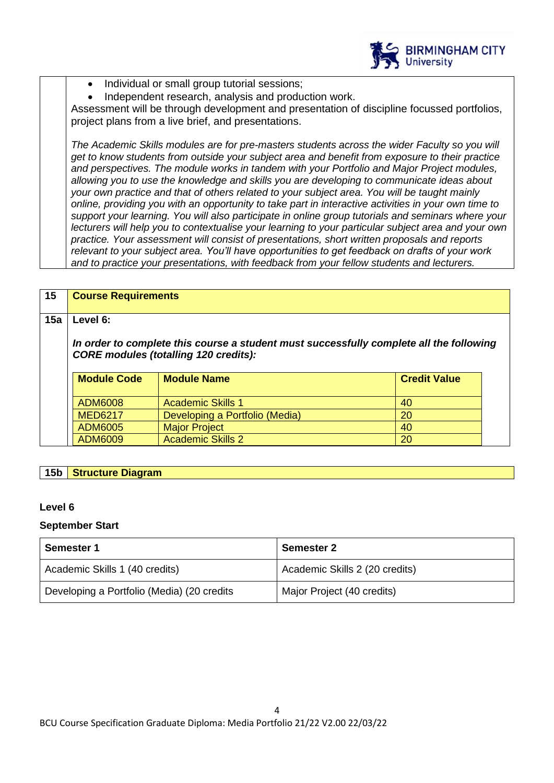

- Individual or small group tutorial sessions;
- Independent research, analysis and production work.

Assessment will be through development and presentation of discipline focussed portfolios, project plans from a live brief, and presentations.

*The Academic Skills modules are for pre-masters students across the wider Faculty so you will get to know students from outside your subject area and benefit from exposure to their practice and perspectives. The module works in tandem with your Portfolio and Major Project modules, allowing you to use the knowledge and skills you are developing to communicate ideas about your own practice and that of others related to your subject area. You will be taught mainly online, providing you with an opportunity to take part in interactive activities in your own time to support your learning. You will also participate in online group tutorials and seminars where your lecturers will help you to contextualise your learning to your particular subject area and your own practice. Your assessment will consist of presentations, short written proposals and reports relevant to your subject area. You'll have opportunities to get feedback on drafts of your work and to practice your presentations, with feedback from your fellow students and lecturers.*

| 15  | <b>Course Requirements</b>                                                                                                              |                                |                     |  |
|-----|-----------------------------------------------------------------------------------------------------------------------------------------|--------------------------------|---------------------|--|
| 15a | Level 6:                                                                                                                                |                                |                     |  |
|     | In order to complete this course a student must successfully complete all the following<br><b>CORE modules (totalling 120 credits):</b> |                                |                     |  |
|     | <b>Module Code</b>                                                                                                                      | <b>Module Name</b>             | <b>Credit Value</b> |  |
|     | <b>ADM6008</b>                                                                                                                          | <b>Academic Skills 1</b>       | 40                  |  |
|     | <b>MED6217</b>                                                                                                                          | Developing a Portfolio (Media) | 20                  |  |
|     | <b>ADM6005</b>                                                                                                                          | <b>Major Project</b>           | 40                  |  |
|     |                                                                                                                                         |                                |                     |  |

# **15b Structure Diagram**

# **Level 6**

#### **September Start**

| <b>Semester 1</b>                          | <b>Semester 2</b>              |
|--------------------------------------------|--------------------------------|
| Academic Skills 1 (40 credits)             | Academic Skills 2 (20 credits) |
| Developing a Portfolio (Media) (20 credits | Major Project (40 credits)     |